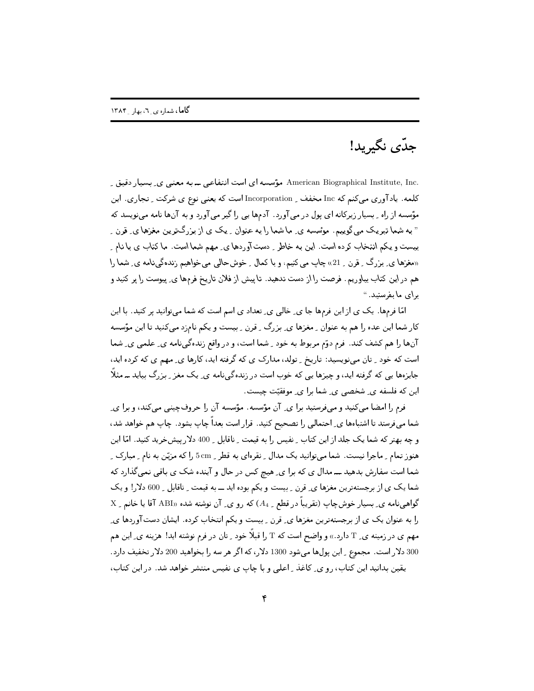## جدّى نگيريد!

.American Biographical Institute, Inc مؤسسه ای است انتفاعی ــ به معنی ی ِ بسیار دقیق ِ کلمه. یادآوری میکنم که Inc مخفف ِ Incorporation است که یعنی نوع ی شرکت ِ تجاری. این مؤسسه از راه \_ بسیار زیرکانه ای یول در می آورد. آدمها یی را گیر می آورد و به آنها نامه مینویسد که " به شما تبریک می گویبم. مؤسسه ی ِ ما شما را به عنوان ِ یک ی از بزرگترین مغزها ی ِ قرن ِ بیست و یکم انتخاب کرده است. این به خاطر ِ دست آوردها ی ِ مهم شما است. ما کتاب ی با نام ِ «مغزها ي بزرگ ۔ قرن ۔ 21» چاپ می کنیم، و با کمال ۔ خوشحالبی می خواهیم زندہگی،نامه ی ِ شما را هم در این کتاب بیاوریم. فرصت را از دست ندهید. تا پیش از فلان تاریخ فرمها ی ِ پیوست را پر کنید و برای ما بفرستید. "

امّا فرمها. یک ی از این فرمها جا ی ِ خالبی ی ِ تعداد ی اسم است که شما می توانید پر کنید. با این کار شما این عده را هم به عنوان <sub>-</sub> مغزها ی ِ بزرگ <sub>-</sub> قرن <sub>-</sub> بیست و یکم نامزد می کنید تا این مؤسسه آنها را هم كشف كند. فرم دوّم مربوط به خود \_ شما است، و در واقع زنده گی نامه ی\_ علمی ی\_ شما است که خود ِ تان می نویسید: تاریخ ِ تولد، مدارک ی که گرفته اید، کارها ی ِ مهم ی که کرده اید، جایزهها یی که گرفته اید، و چیزها یی که خوب است در زندهگینامه ی ِ یک مغز ِ بزرگ بیاید ــ مثلاً این که فلسفه ی ِ شخصی ی ِ شما برا ی ِ موفقیّت چیست.

فرم را امضا می کنید و میفرستید برا ی ِ آن مؤسسه . مؤسسه آن را حروفچینبی می کند، و برا ی ِ شما میفرستد تا اشتباهها ی ِ احتمالی را تصحیح کنید. قرار است بعداً چاپ بشود. چاپ هم خواهد شد، و چه بهتر که شما یک جلد از این کتاب ِ نفیس را به قیمت ِ ناقابل ِ 400 دلار پیشخرید کنید. امّا این هنوز تمام ِ ماجرا نیست. شما میتوانید یک مدال ِ نقرهای به قطر ِ 5cm را که مزیّن به نام ِ مبارک ِ ِ شما است سفارش بدهید ـــ مدال ي كه برا ي ِ هيچ كس در حال و آينده شک ي باقي نمي گذارد كه شما یک ی از برجستهترین مغزها ی ِ قرن ِ بیست و یکم بوده اید ــ به قیمت ِ ناقابل ِ 600 دلار! و یک گواهی نامه ی ِ بسیار خوش چاپ (تقریباً در قطع \_ A4) که رو ی ِ آن نوشته شده «ABI آقا یا خانم \_ X را به عنوان یک ی از برجستهترین مغزها ی ِ قرن ِ بیست و یکم انتخاب کرده . ایشان دستآوردها ی ِ مهم ی در زمینه ی ِ T دارد .» و واضح است که T را قبلاً خود \_ تان در فرم نوشته اید! هزینه ی ِ این هم 300 دلار است. مجموع \_ این پول ها می شود 1300 دلار، که اگر هر سه را بخواهید 200 دلار تخفیف دارد . یقین بدانید این کتاب، رو ی ِ کاغذ ِ اعلی و با چاپ ی نفیس منتشر خواهد شد. در این کتاب،